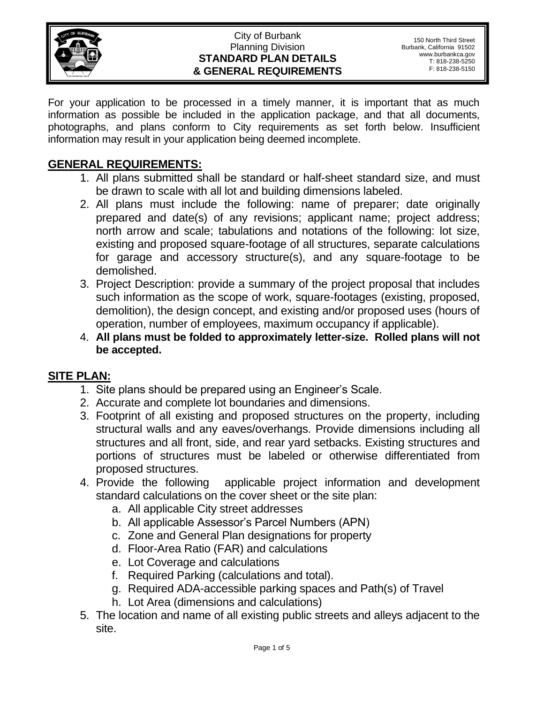

#### City of Burbank Planning Division **STANDARD PLAN DETAILS & GENERAL REQUIREMENTS**

For your application to be processed in a timely manner, it is important that as much information as possible be included in the application package, and that all documents, photographs, and plans conform to City requirements as set forth below. Insufficient information may result in your application being deemed incomplete.

#### **GENERAL REQUIREMENTS:**

- 1. All plans submitted shall be standard or half-sheet standard size, and must be drawn to scale with all lot and building dimensions labeled.
- 2. All plans must include the following: name of preparer; date originally prepared and date(s) of any revisions; applicant name; project address; north arrow and scale; tabulations and notations of the following: lot size, existing and proposed square-footage of all structures, separate calculations for garage and accessory structure(s), and any square-footage to be demolished.
- 3. Project Description: provide a summary of the project proposal that includes such information as the scope of work, square-footages (existing, proposed, demolition), the design concept, and existing and/or proposed uses (hours of operation, number of employees, maximum occupancy if applicable).
- 4. **All plans must be folded to approximately letter-size. Rolled plans will not be accepted.**

### **SITE PLAN:**

- 1. Site plans should be prepared using an Engineer's Scale.
- 2. Accurate and complete lot boundaries and dimensions.
- 3. Footprint of all existing and proposed structures on the property, including structural walls and any eaves/overhangs. Provide dimensions including all structures and all front, side, and rear yard setbacks. Existing structures and portions of structures must be labeled or otherwise differentiated from proposed structures.
- 4. Provide the following applicable project information and development standard calculations on the cover sheet or the site plan:
	- a. All applicable City street addresses
	- b. All applicable Assessor's Parcel Numbers (APN)
	- c. Zone and General Plan designations for property
	- d. Floor-Area Ratio (FAR) and calculations
	- e. Lot Coverage and calculations
	- f. Required Parking (calculations and total).
	- g. Required ADA-accessible parking spaces and Path(s) of Travel
	- h. Lot Area (dimensions and calculations)
- 5. The location and name of all existing public streets and alleys adjacent to the site.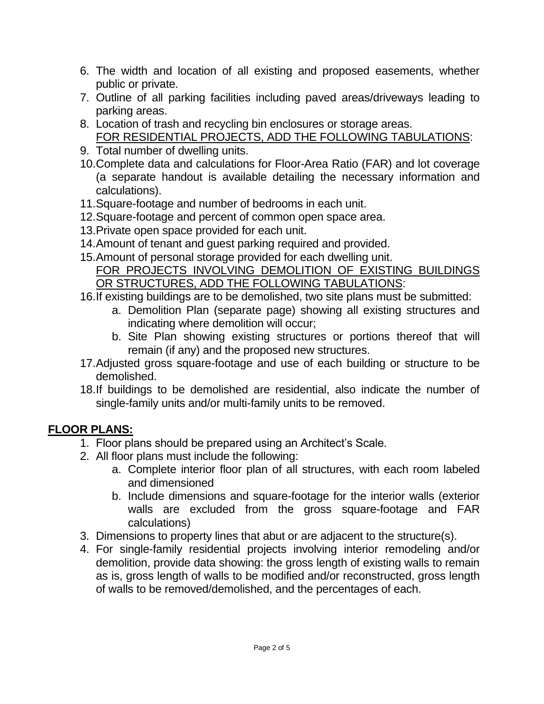- 6. The width and location of all existing and proposed easements, whether public or private.
- 7. Outline of all parking facilities including paved areas/driveways leading to parking areas.
- 8. Location of trash and recycling bin enclosures or storage areas. FOR RESIDENTIAL PROJECTS, ADD THE FOLLOWING TABULATIONS:
- 9. Total number of dwelling units.
- 10.Complete data and calculations for Floor-Area Ratio (FAR) and lot coverage (a separate handout is available detailing the necessary information and calculations).
- 11.Square-footage and number of bedrooms in each unit.
- 12.Square-footage and percent of common open space area.
- 13.Private open space provided for each unit.
- 14.Amount of tenant and guest parking required and provided.
- 15.Amount of personal storage provided for each dwelling unit. FOR PROJECTS INVOLVING DEMOLITION OF EXISTING BUILDINGS OR STRUCTURES, ADD THE FOLLOWING TABULATIONS:
- 16.If existing buildings are to be demolished, two site plans must be submitted:
	- a. Demolition Plan (separate page) showing all existing structures and indicating where demolition will occur;
	- b. Site Plan showing existing structures or portions thereof that will remain (if any) and the proposed new structures.
- 17.Adjusted gross square-footage and use of each building or structure to be demolished.
- 18.If buildings to be demolished are residential, also indicate the number of single-family units and/or multi-family units to be removed.

## **FLOOR PLANS:**

- 1. Floor plans should be prepared using an Architect's Scale.
- 2. All floor plans must include the following:
	- a. Complete interior floor plan of all structures, with each room labeled and dimensioned
	- b. Include dimensions and square-footage for the interior walls (exterior walls are excluded from the gross square-footage and FAR calculations)
- 3. Dimensions to property lines that abut or are adjacent to the structure(s).
- 4. For single-family residential projects involving interior remodeling and/or demolition, provide data showing: the gross length of existing walls to remain as is, gross length of walls to be modified and/or reconstructed, gross length of walls to be removed/demolished, and the percentages of each.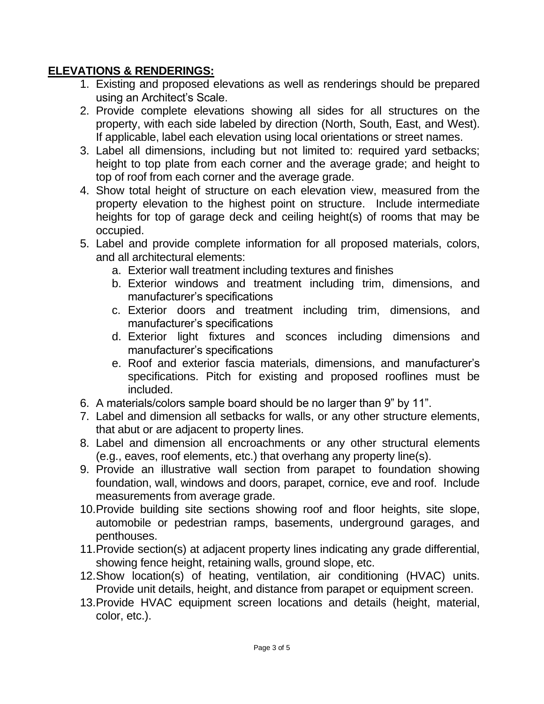#### **ELEVATIONS & RENDERINGS:**

- 1. Existing and proposed elevations as well as renderings should be prepared using an Architect's Scale.
- 2. Provide complete elevations showing all sides for all structures on the property, with each side labeled by direction (North, South, East, and West). If applicable, label each elevation using local orientations or street names.
- 3. Label all dimensions, including but not limited to: required yard setbacks; height to top plate from each corner and the average grade; and height to top of roof from each corner and the average grade.
- 4. Show total height of structure on each elevation view, measured from the property elevation to the highest point on structure. Include intermediate heights for top of garage deck and ceiling height(s) of rooms that may be occupied.
- 5. Label and provide complete information for all proposed materials, colors, and all architectural elements:
	- a. Exterior wall treatment including textures and finishes
	- b. Exterior windows and treatment including trim, dimensions, and manufacturer's specifications
	- c. Exterior doors and treatment including trim, dimensions, and manufacturer's specifications
	- d. Exterior light fixtures and sconces including dimensions and manufacturer's specifications
	- e. Roof and exterior fascia materials, dimensions, and manufacturer's specifications. Pitch for existing and proposed rooflines must be included.
- 6. A materials/colors sample board should be no larger than 9" by 11".
- 7. Label and dimension all setbacks for walls, or any other structure elements, that abut or are adjacent to property lines.
- 8. Label and dimension all encroachments or any other structural elements (e.g., eaves, roof elements, etc.) that overhang any property line(s).
- 9. Provide an illustrative wall section from parapet to foundation showing foundation, wall, windows and doors, parapet, cornice, eve and roof. Include measurements from average grade.
- 10.Provide building site sections showing roof and floor heights, site slope, automobile or pedestrian ramps, basements, underground garages, and penthouses.
- 11.Provide section(s) at adjacent property lines indicating any grade differential, showing fence height, retaining walls, ground slope, etc.
- 12.Show location(s) of heating, ventilation, air conditioning (HVAC) units. Provide unit details, height, and distance from parapet or equipment screen.
- 13.Provide HVAC equipment screen locations and details (height, material, color, etc.).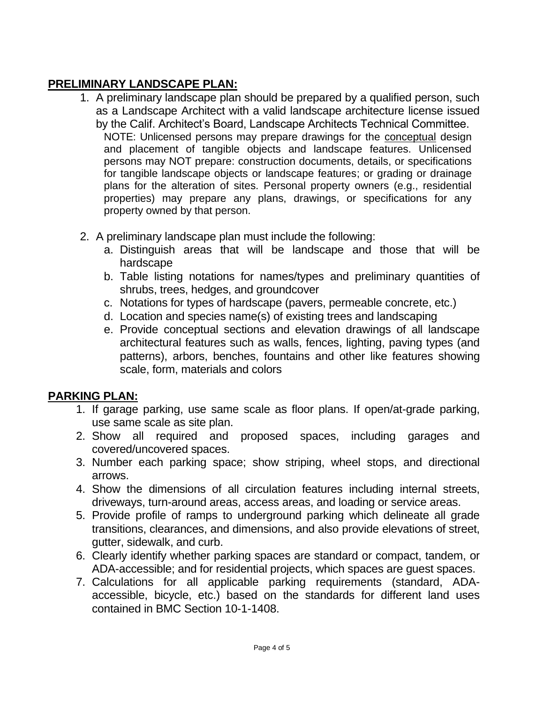## **PRELIMINARY LANDSCAPE PLAN:**

- 1. A preliminary landscape plan should be prepared by a qualified person, such as a Landscape Architect with a valid landscape architecture license issued by the Calif. Architect's Board, Landscape Architects Technical Committee. NOTE: Unlicensed persons may prepare drawings for the conceptual design and placement of tangible objects and landscape features. Unlicensed persons may NOT prepare: construction documents, details, or specifications for tangible landscape objects or landscape features; or grading or drainage plans for the alteration of sites. Personal property owners (e.g., residential properties) may prepare any plans, drawings, or specifications for any property owned by that person.
- 2. A preliminary landscape plan must include the following:
	- a. Distinguish areas that will be landscape and those that will be hardscape
	- b. Table listing notations for names/types and preliminary quantities of shrubs, trees, hedges, and groundcover
	- c. Notations for types of hardscape (pavers, permeable concrete, etc.)
	- d. Location and species name(s) of existing trees and landscaping
	- e. Provide conceptual sections and elevation drawings of all landscape architectural features such as walls, fences, lighting, paving types (and patterns), arbors, benches, fountains and other like features showing scale, form, materials and colors

### **PARKING PLAN:**

- 1. If garage parking, use same scale as floor plans. If open/at-grade parking, use same scale as site plan.
- 2. Show all required and proposed spaces, including garages and covered/uncovered spaces.
- 3. Number each parking space; show striping, wheel stops, and directional arrows.
- 4. Show the dimensions of all circulation features including internal streets, driveways, turn-around areas, access areas, and loading or service areas.
- 5. Provide profile of ramps to underground parking which delineate all grade transitions, clearances, and dimensions, and also provide elevations of street, gutter, sidewalk, and curb.
- 6. Clearly identify whether parking spaces are standard or compact, tandem, or ADA-accessible; and for residential projects, which spaces are guest spaces.
- 7. Calculations for all applicable parking requirements (standard, ADAaccessible, bicycle, etc.) based on the standards for different land uses contained in BMC Section 10-1-1408.